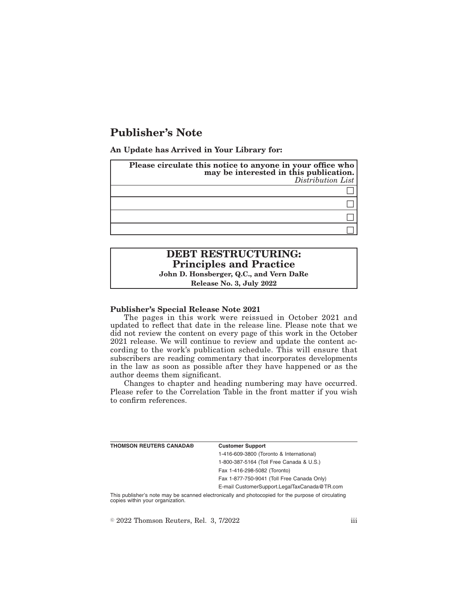# **Publisher's Note**

**An Update has Arrived in Your Library for:**

| Please circulate this notice to anyone in your office who<br>may be interested in this publication.<br>Distribution List |
|--------------------------------------------------------------------------------------------------------------------------|
|                                                                                                                          |
|                                                                                                                          |
|                                                                                                                          |
|                                                                                                                          |

# **DEBT RESTRUCTURING: Principles and Practice John D. Honsberger, Q.C., and Vern DaRe**

**Release No. 3, July 2022**

### **Publisher's Special Release Note 2021**

The pages in this work were reissued in October 2021 and updated to reflect that date in the release line. Please note that we did not review the content on every page of this work in the October 2021 release. We will continue to review and update the content according to the work's publication schedule. This will ensure that subscribers are reading commentary that incorporates developments in the law as soon as possible after they have happened or as the author deems them significant.

Changes to chapter and heading numbering may have occurred. Please refer to the Correlation Table in the front matter if you wish to confirm references.

| <b>THOMSON REUTERS CANADA®</b> | <b>Customer Support</b>                      |
|--------------------------------|----------------------------------------------|
|                                | 1-416-609-3800 (Toronto & International)     |
|                                | 1-800-387-5164 (Toll Free Canada & U.S.)     |
|                                | Fax 1-416-298-5082 (Toronto)                 |
|                                | Fax 1-877-750-9041 (Toll Free Canada Only)   |
|                                | E-mail CustomerSupport.LegalTaxCanada@TR.com |
|                                |                                              |

This publisher's note may be scanned electronically and photocopied for the purpose of circulating copies within your organization.

 $\degree$  2022 Thomson Reuters, Rel. 3, 7/2022 iii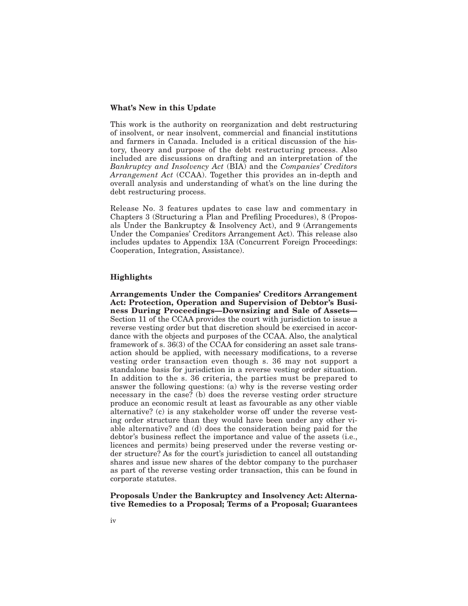#### **What's New in this Update**

This work is the authority on reorganization and debt restructuring of insolvent, or near insolvent, commercial and financial institutions and farmers in Canada. Included is a critical discussion of the history, theory and purpose of the debt restructuring process. Also included are discussions on drafting and an interpretation of the *Bankruptcy and Insolvency Act* (BIA) and the *Companies' Creditors Arrangement Act* (CCAA). Together this provides an in-depth and overall analysis and understanding of what's on the line during the debt restructuring process.

Release No. 3 features updates to case law and commentary in Chapters 3 (Structuring a Plan and Prefiling Procedures), 8 (Proposals Under the Bankruptcy & Insolvency Act), and 9 (Arrangements Under the Companies' Creditors Arrangement Act). This release also includes updates to Appendix 13A (Concurrent Foreign Proceedings: Cooperation, Integration, Assistance).

# **Highlights**

**Arrangements Under the Companies' Creditors Arrangement Act: Protection, Operation and Supervision of Debtor's Business During Proceedings—Downsizing and Sale of Assets—** Section 11 of the CCAA provides the court with jurisdiction to issue a reverse vesting order but that discretion should be exercised in accordance with the objects and purposes of the CCAA. Also, the analytical framework of s. 36(3) of the CCAA for considering an asset sale transaction should be applied, with necessary modifications, to a reverse vesting order transaction even though s. 36 may not support a standalone basis for jurisdiction in a reverse vesting order situation. In addition to the s. 36 criteria, the parties must be prepared to answer the following questions: (a) why is the reverse vesting order necessary in the case? (b) does the reverse vesting order structure produce an economic result at least as favourable as any other viable alternative? (c) is any stakeholder worse off under the reverse vesting order structure than they would have been under any other viable alternative? and (d) does the consideration being paid for the debtor's business reflect the importance and value of the assets (i.e., licences and permits) being preserved under the reverse vesting order structure? As for the court's jurisdiction to cancel all outstanding shares and issue new shares of the debtor company to the purchaser as part of the reverse vesting order transaction, this can be found in corporate statutes.

**Proposals Under the Bankruptcy and Insolvency Act: Alternative Remedies to a Proposal; Terms of a Proposal; Guarantees**